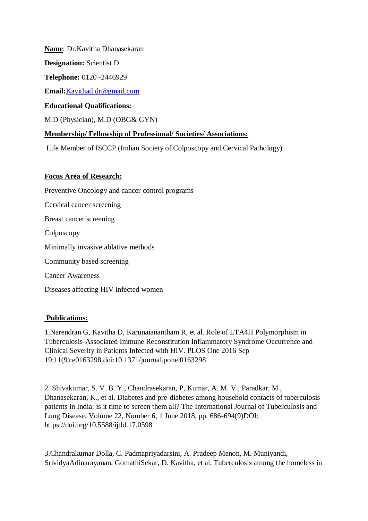**Name**: Dr.Kavitha Dhanasekaran

**Designation:** Scientist D

**Telephone:** 0120 -2446929

**Email:**[Kavithad.dr@gmail.com](mailto:Kavithad.dr@gmail.com)

## **Educational Qualifications:**

M.D (Physician), M.D (OBG& GYN)

# **Membership/ Fellowship of Professional/ Societies/ Associations:**

Life Member of ISCCP (Indian Society of Colposcopy and Cervical Pathology)

# **Focus Area of Research:**

Preventive Oncology and cancer control programs Cervical cancer screening Breast cancer screening Colposcopy Minimally invasive ablative methods Community based screening Cancer Awareness Diseases affecting HIV infected women

### **Publications:**

1[.Narendran G,](https://www.ncbi.nlm.nih.gov/pubmed/?term=Narendran%20G%5BAuthor%5D&cauthor=true&cauthor_uid=27643598) [Kavitha D,](https://www.ncbi.nlm.nih.gov/pubmed/?term=Kavitha%20D%5BAuthor%5D&cauthor=true&cauthor_uid=27643598) [Karunaianantham R,](https://www.ncbi.nlm.nih.gov/pubmed/?term=Karunaianantham%20R%5BAuthor%5D&cauthor=true&cauthor_uid=27643598) et al. Role of LTA4H Polymorphism in Tuberculosis-Associated Immune Reconstitution Inflammatory Syndrome Occurrence and Clinical Severity in Patients Infected with HIV. PLOS One 2016 Sep 19;11(9):e0163298.doi:10.1371/journal.pone.0163298

2. Shivakumar, S. V. B. Y., Chandrasekaran, P, Kumar, A. M. V., Paradkar, M., Dhanasekaran, K., et al. Diabetes and pre-diabetes among household contacts of tuberculosis patients in India: is it time to screen them all? The International Journal of Tuberculosis and Lung Disease, Volume 22, Number 6, 1 June 2018, pp. 686-694(9)DOI: https://doi.org/10.5588/ijtld.17.0598

3.Chandrakumar Dolla, C. Padmapriyadarsini, A. Pradeep Menon, M. Muniyandi, SrividyaAdinarayanan, GomathiSekar, D. Kavitha, et al. Tuberculosis among the homeless in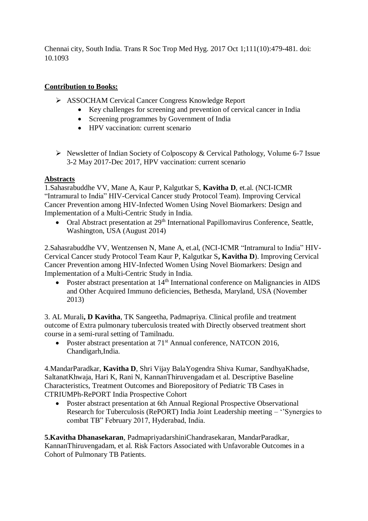Chennai city, South India. [Trans R Soc Trop Med Hyg.](https://www.ncbi.nlm.nih.gov/pubmed/29346636) 2017 Oct 1;111(10):479-481. doi: 10.1093

## **Contribution to Books:**

- ASSOCHAM Cervical Cancer Congress Knowledge Report
	- Key challenges for screening and prevention of cervical cancer in India
	- Screening programmes by Government of India
	- HPV vaccination: current scenario
- $\triangleright$  Newsletter of Indian Society of Colposcopy & Cervical Pathology, Volume 6-7 Issue 3-2 May 2017-Dec 2017, HPV vaccination: current scenario

#### **Abstracts**

1.Sahasrabuddhe VV, Mane A, Kaur P, Kalgutkar S, **Kavitha D**, et.al. (NCI-ICMR "Intramural to India" HIV-Cervical Cancer study Protocol Team). Improving Cervical Cancer Prevention among HIV-Infected Women Using Novel Biomarkers: Design and Implementation of a Multi-Centric Study in India.

• Oral Abstract presentation at 29<sup>th</sup> International Papillomavirus Conference, Seattle, Washington, USA (August 2014)

2.Sahasrabuddhe VV, Wentzensen N, Mane A, et.al, (NCI-ICMR "Intramural to India" HIV-Cervical Cancer study Protocol Team Kaur P, Kalgutkar S**, Kavitha D**). Improving Cervical Cancer Prevention among HIV-Infected Women Using Novel Biomarkers: Design and Implementation of a Multi-Centric Study in India.

• Poster abstract presentation at 14<sup>th</sup> International conference on Malignancies in AIDS and Other Acquired Immuno deficiencies, Bethesda, Maryland, USA (November 2013)

3. AL Murali**, D Kavitha**, TK Sangeetha, Padmapriya. Clinical profile and treatment outcome of Extra pulmonary tuberculosis treated with Directly observed treatment short course in a semi-rural setting of Tamilnadu.

• Poster abstract presentation at  $71<sup>st</sup>$  Annual conference, NATCON 2016, Chandigarh,India.

4.MandarParadkar, **Kavitha D**, Shri Vijay BalaYogendra Shiva Kumar, SandhyaKhadse, SaltanatKhwaja, Hari K, Rani N, KannanThiruvengadam et al. Descriptive Baseline Characteristics, Treatment Outcomes and Biorepository of Pediatric TB Cases in CTRIUMPh-RePORT India Prospective Cohort

 Poster abstract presentation at 6th Annual Regional Prospective Observational Research for Tuberculosis (RePORT) India Joint Leadership meeting – ''Synergies to combat TB" February 2017, Hyderabad, India.

**5.Kavitha Dhanasekaran**, PadmapriyadarshiniChandrasekaran, MandarParadkar, KannanThiruvengadam, et al. Risk Factors Associated with Unfavorable Outcomes in a Cohort of Pulmonary TB Patients.